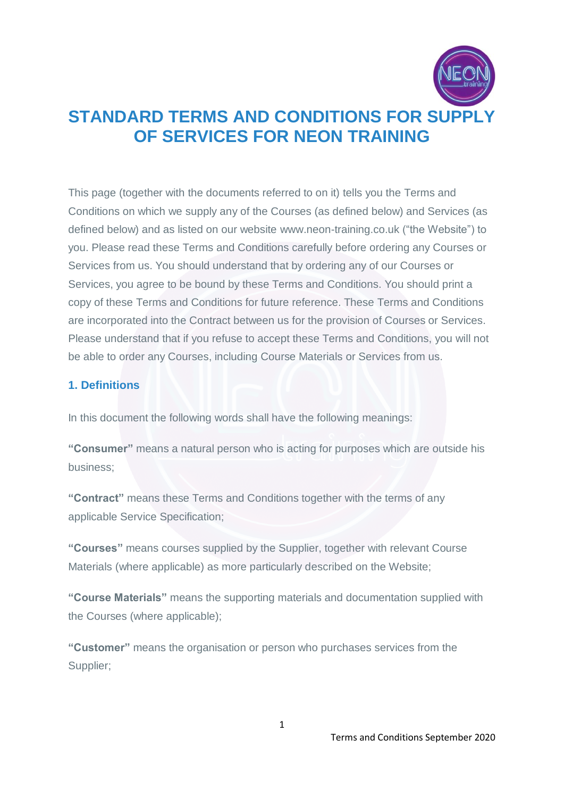

This page (together with the documents referred to on it) tells you the Terms and Conditions on which we supply any of the Courses (as defined below) and Services (as defined below) and as listed on our website [www.neon-training.co.uk](http://www.neon-training.co.uk/) ("the Website") to you. Please read these Terms and Conditions carefully before ordering any Courses or Services from us. You should understand that by ordering any of our Courses or Services, you agree to be bound by these Terms and Conditions. You should print a copy of these Terms and Conditions for future reference. These Terms and Conditions are incorporated into the Contract between us for the provision of Courses or Services. Please understand that if you refuse to accept these Terms and Conditions, you will not be able to order any Courses, including Course Materials or Services from us.

#### **1. Definitions**

In this document the following words shall have the following meanings:

**"Consumer"** means a natural person who is acting for purposes which are outside his business;

**"Contract"** means these Terms and Conditions together with the terms of any applicable Service Specification;

**"Courses"** means courses supplied by the Supplier, together with relevant Course Materials (where applicable) as more particularly described on the Website;

**"Course Materials"** means the supporting materials and documentation supplied with the Courses (where applicable);

**"Customer"** means the organisation or person who purchases services from the Supplier;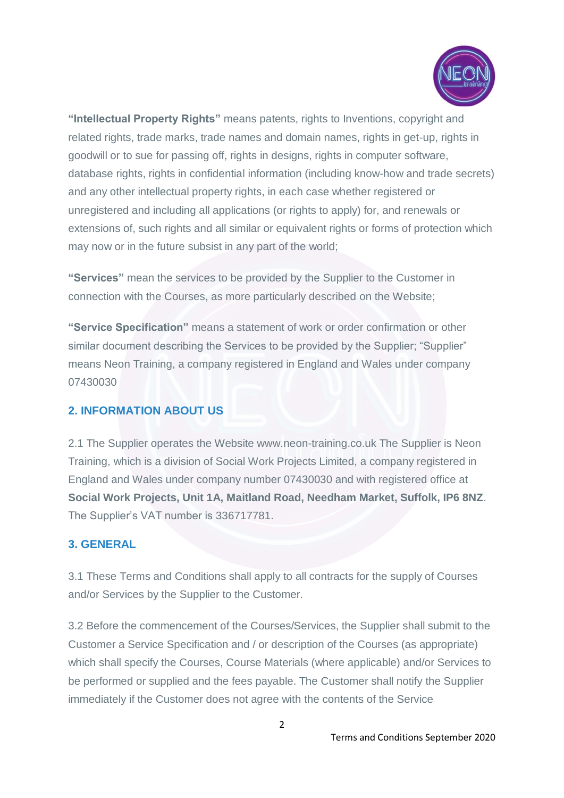

**"Intellectual Property Rights"** means patents, rights to Inventions, copyright and related rights, trade marks, trade names and domain names, rights in get-up, rights in goodwill or to sue for passing off, rights in designs, rights in computer software, database rights, rights in confidential information (including know-how and trade secrets) and any other intellectual property rights, in each case whether registered or unregistered and including all applications (or rights to apply) for, and renewals or extensions of, such rights and all similar or equivalent rights or forms of protection which may now or in the future subsist in any part of the world;

**"Services"** mean the services to be provided by the Supplier to the Customer in connection with the Courses, as more particularly described on the Website;

**"Service Specification"** means a statement of work or order confirmation or other similar document describing the Services to be provided by the Supplier; "Supplier" means Neon Training, a company registered in England and Wales under company 07430030

#### **2. INFORMATION ABOUT US**

2.1 The Supplier operates the Website www.neon-training.co.uk The Supplier is Neon Training, which is a division of Social Work Projects Limited, a company registered in England and Wales under company number 07430030 and with registered office at **Social Work Projects, Unit 1A, Maitland Road, Needham Market, Suffolk, IP6 8NZ**. The Supplier's VAT number is 336717781.

## **3. GENERAL**

3.1 These Terms and Conditions shall apply to all contracts for the supply of Courses and/or Services by the Supplier to the Customer.

3.2 Before the commencement of the Courses/Services, the Supplier shall submit to the Customer a Service Specification and / or description of the Courses (as appropriate) which shall specify the Courses, Course Materials (where applicable) and/or Services to be performed or supplied and the fees payable. The Customer shall notify the Supplier immediately if the Customer does not agree with the contents of the Service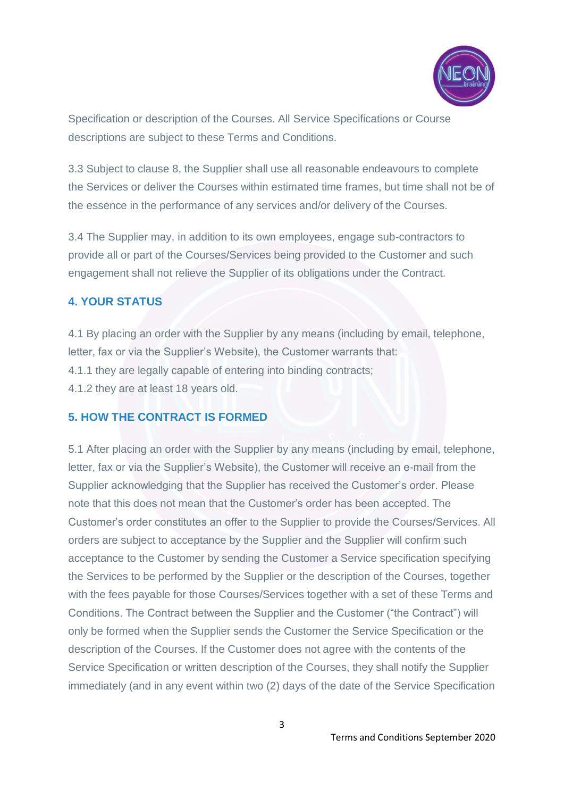

Specification or description of the Courses. All Service Specifications or Course descriptions are subject to these Terms and Conditions.

3.3 Subject to clause 8, the Supplier shall use all reasonable endeavours to complete the Services or deliver the Courses within estimated time frames, but time shall not be of the essence in the performance of any services and/or delivery of the Courses.

3.4 The Supplier may, in addition to its own employees, engage sub-contractors to provide all or part of the Courses/Services being provided to the Customer and such engagement shall not relieve the Supplier of its obligations under the Contract.

## **4. YOUR STATUS**

4.1 By placing an order with the Supplier by any means (including by email, telephone, letter, fax or via the Supplier's Website), the Customer warrants that: 4.1.1 they are legally capable of entering into binding contracts; 4.1.2 they are at least 18 years old.

#### **5. HOW THE CONTRACT IS FORMED**

5.1 After placing an order with the Supplier by any means (including by email, telephone, letter, fax or via the Supplier's Website), the Customer will receive an e-mail from the Supplier acknowledging that the Supplier has received the Customer's order. Please note that this does not mean that the Customer's order has been accepted. The Customer's order constitutes an offer to the Supplier to provide the Courses/Services. All orders are subject to acceptance by the Supplier and the Supplier will confirm such acceptance to the Customer by sending the Customer a Service specification specifying the Services to be performed by the Supplier or the description of the Courses, together with the fees payable for those Courses/Services together with a set of these Terms and Conditions. The Contract between the Supplier and the Customer ("the Contract") will only be formed when the Supplier sends the Customer the Service Specification or the description of the Courses. If the Customer does not agree with the contents of the Service Specification or written description of the Courses, they shall notify the Supplier immediately (and in any event within two (2) days of the date of the Service Specification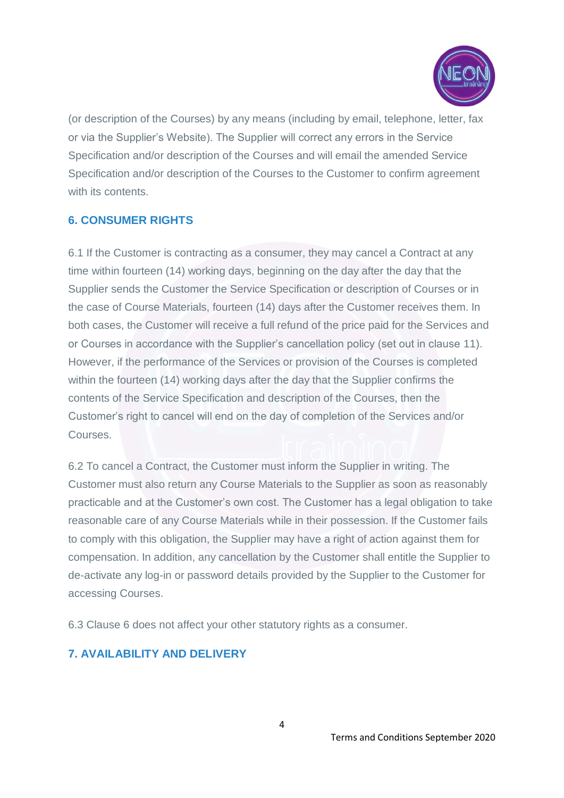

(or description of the Courses) by any means (including by email, telephone, letter, fax or via the Supplier's Website). The Supplier will correct any errors in the Service Specification and/or description of the Courses and will email the amended Service Specification and/or description of the Courses to the Customer to confirm agreement with its contents

## **6. CONSUMER RIGHTS**

6.1 If the Customer is contracting as a consumer, they may cancel a Contract at any time within fourteen (14) working days, beginning on the day after the day that the Supplier sends the Customer the Service Specification or description of Courses or in the case of Course Materials, fourteen (14) days after the Customer receives them. In both cases, the Customer will receive a full refund of the price paid for the Services and or Courses in accordance with the Supplier's cancellation policy (set out in clause 11). However, if the performance of the Services or provision of the Courses is completed within the fourteen (14) working days after the day that the Supplier confirms the contents of the Service Specification and description of the Courses, then the Customer's right to cancel will end on the day of completion of the Services and/or Courses.

6.2 To cancel a Contract, the Customer must inform the Supplier in writing. The Customer must also return any Course Materials to the Supplier as soon as reasonably practicable and at the Customer's own cost. The Customer has a legal obligation to take reasonable care of any Course Materials while in their possession. If the Customer fails to comply with this obligation, the Supplier may have a right of action against them for compensation. In addition, any cancellation by the Customer shall entitle the Supplier to de-activate any log-in or password details provided by the Supplier to the Customer for accessing Courses.

6.3 Clause 6 does not affect your other statutory rights as a consumer.

## **7. AVAILABILITY AND DELIVERY**

4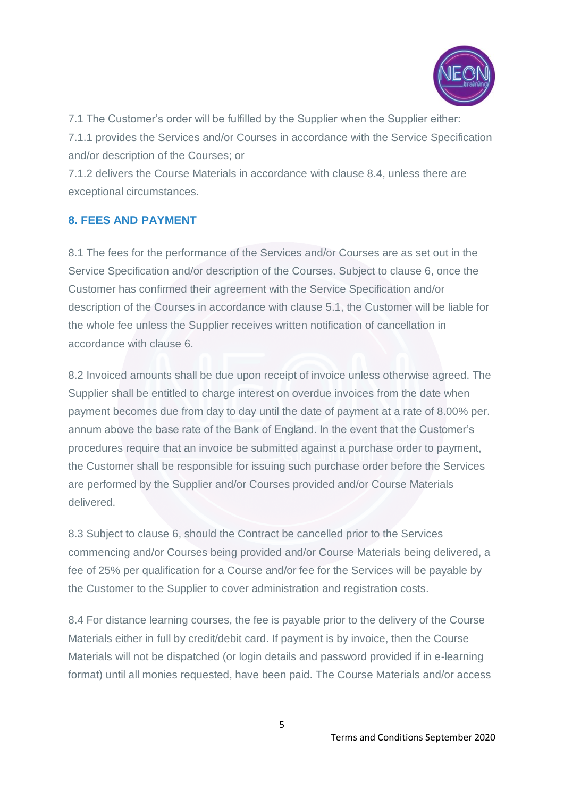

7.1 The Customer's order will be fulfilled by the Supplier when the Supplier either:

7.1.1 provides the Services and/or Courses in accordance with the Service Specification and/or description of the Courses; or

7.1.2 delivers the Course Materials in accordance with clause 8.4, unless there are exceptional circumstances.

## **8. FEES AND PAYMENT**

8.1 The fees for the performance of the Services and/or Courses are as set out in the Service Specification and/or description of the Courses. Subject to clause 6, once the Customer has confirmed their agreement with the Service Specification and/or description of the Courses in accordance with clause 5.1, the Customer will be liable for the whole fee unless the Supplier receives written notification of cancellation in accordance with clause 6.

8.2 Invoiced amounts shall be due upon receipt of invoice unless otherwise agreed. The Supplier shall be entitled to charge interest on overdue invoices from the date when payment becomes due from day to day until the date of payment at a rate of 8.00% per. annum above the base rate of the Bank of England. In the event that the Customer's procedures require that an invoice be submitted against a purchase order to payment, the Customer shall be responsible for issuing such purchase order before the Services are performed by the Supplier and/or Courses provided and/or Course Materials delivered.

8.3 Subject to clause 6, should the Contract be cancelled prior to the Services commencing and/or Courses being provided and/or Course Materials being delivered, a fee of 25% per qualification for a Course and/or fee for the Services will be payable by the Customer to the Supplier to cover administration and registration costs.

8.4 For distance learning courses, the fee is payable prior to the delivery of the Course Materials either in full by credit/debit card. If payment is by invoice, then the Course Materials will not be dispatched (or login details and password provided if in e-learning format) until all monies requested, have been paid. The Course Materials and/or access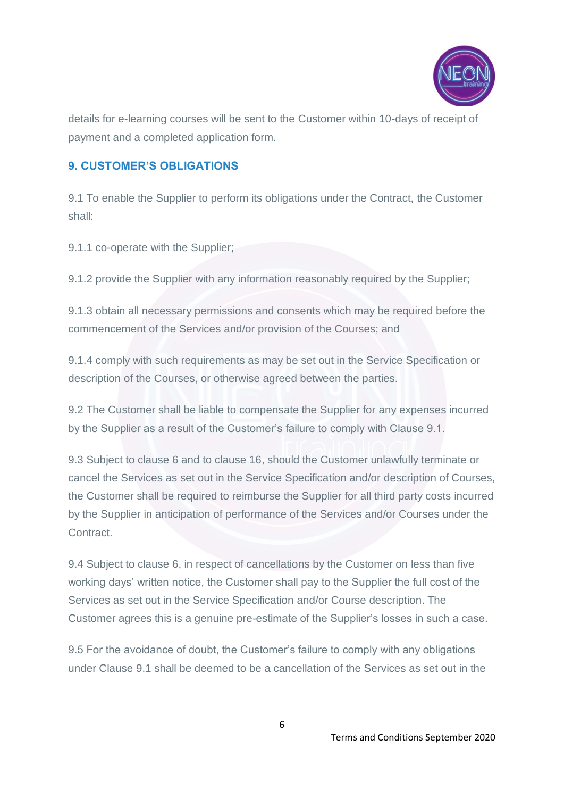

details for e-learning courses will be sent to the Customer within 10-days of receipt of payment and a completed application form.

# **9. CUSTOMER'S OBLIGATIONS**

9.1 To enable the Supplier to perform its obligations under the Contract, the Customer shall:

9.1.1 co-operate with the Supplier;

9.1.2 provide the Supplier with any information reasonably required by the Supplier;

9.1.3 obtain all necessary permissions and consents which may be required before the commencement of the Services and/or provision of the Courses; and

9.1.4 comply with such requirements as may be set out in the Service Specification or description of the Courses, or otherwise agreed between the parties.

9.2 The Customer shall be liable to compensate the Supplier for any expenses incurred by the Supplier as a result of the Customer's failure to comply with Clause 9.1.

9.3 Subject to clause 6 and to clause 16, should the Customer unlawfully terminate or cancel the Services as set out in the Service Specification and/or description of Courses, the Customer shall be required to reimburse the Supplier for all third party costs incurred by the Supplier in anticipation of performance of the Services and/or Courses under the Contract.

9.4 Subject to clause 6, in respect of cancellations by the Customer on less than five working days' written notice, the Customer shall pay to the Supplier the full cost of the Services as set out in the Service Specification and/or Course description. The Customer agrees this is a genuine pre-estimate of the Supplier's losses in such a case.

9.5 For the avoidance of doubt, the Customer's failure to comply with any obligations under Clause 9.1 shall be deemed to be a cancellation of the Services as set out in the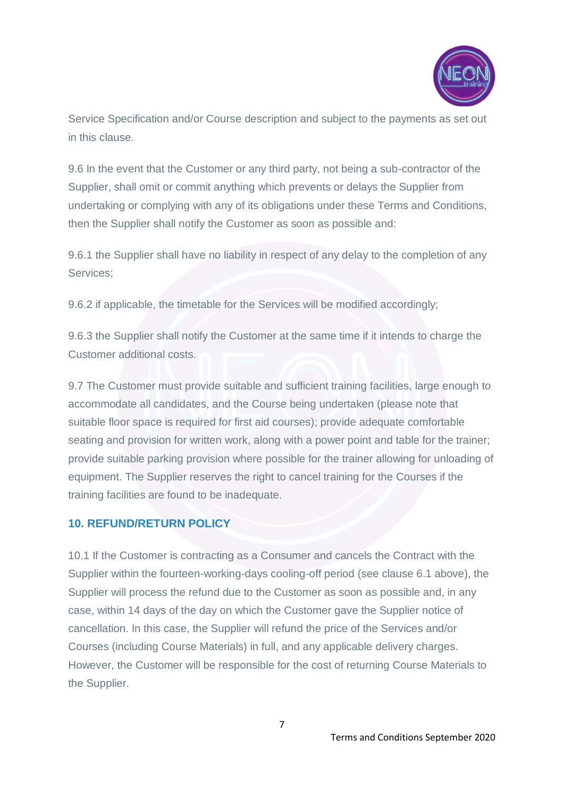

Service Specification and/or Course description and subject to the payments as set out in this clause.

9.6 In the event that the Customer or any third party, not being a sub-contractor of the Supplier, shall omit or commit anything which prevents or delays the Supplier from undertaking or complying with any of its obligations under these Terms and Conditions, then the Supplier shall notify the Customer as soon as possible and:

9.6.1 the Supplier shall have no liability in respect of any delay to the completion of any Services;

9.6.2 if applicable, the timetable for the Services will be modified accordingly;

9.6.3 the Supplier shall notify the Customer at the same time if it intends to charge the Customer additional costs.

9.7 The Customer must provide suitable and sufficient training facilities, large enough to accommodate all candidates, and the Course being undertaken (please note that suitable floor space is required for first aid courses); provide adequate comfortable seating and provision for written work, along with a power point and table for the trainer; provide suitable parking provision where possible for the trainer allowing for unloading of equipment. The Supplier reserves the right to cancel training for the Courses if the training facilities are found to be inadequate.

## **10. REFUND/RETURN POLICY**

10.1 If the Customer is contracting as a Consumer and cancels the Contract with the Supplier within the fourteen-working-days cooling-off period (see clause 6.1 above), the Supplier will process the refund due to the Customer as soon as possible and, in any case, within 14 days of the day on which the Customer gave the Supplier notice of cancellation. In this case, the Supplier will refund the price of the Services and/or Courses (including Course Materials) in full, and any applicable delivery charges. However, the Customer will be responsible for the cost of returning Course Materials to the Supplier.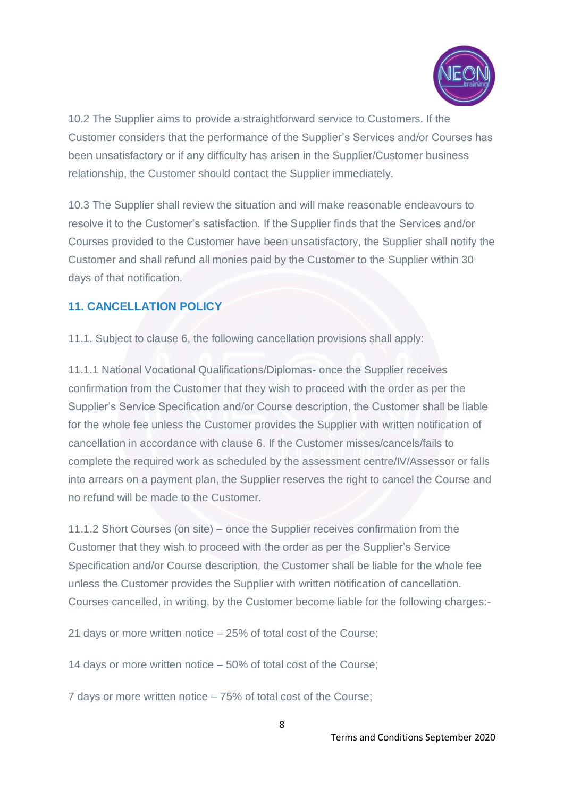

10.2 The Supplier aims to provide a straightforward service to Customers. If the Customer considers that the performance of the Supplier's Services and/or Courses has been unsatisfactory or if any difficulty has arisen in the Supplier/Customer business relationship, the Customer should contact the Supplier immediately.

10.3 The Supplier shall review the situation and will make reasonable endeavours to resolve it to the Customer's satisfaction. If the Supplier finds that the Services and/or Courses provided to the Customer have been unsatisfactory, the Supplier shall notify the Customer and shall refund all monies paid by the Customer to the Supplier within 30 days of that notification.

# **11. CANCELLATION POLICY**

11.1. Subject to clause 6, the following cancellation provisions shall apply:

11.1.1 National Vocational Qualifications/Diplomas- once the Supplier receives confirmation from the Customer that they wish to proceed with the order as per the Supplier's Service Specification and/or Course description, the Customer shall be liable for the whole fee unless the Customer provides the Supplier with written notification of cancellation in accordance with clause 6. If the Customer misses/cancels/fails to complete the required work as scheduled by the assessment centre/IV/Assessor or falls into arrears on a payment plan, the Supplier reserves the right to cancel the Course and no refund will be made to the Customer.

11.1.2 Short Courses (on site) – once the Supplier receives confirmation from the Customer that they wish to proceed with the order as per the Supplier's Service Specification and/or Course description, the Customer shall be liable for the whole fee unless the Customer provides the Supplier with written notification of cancellation. Courses cancelled, in writing, by the Customer become liable for the following charges:-

21 days or more written notice – 25% of total cost of the Course;

14 days or more written notice – 50% of total cost of the Course;

7 days or more written notice – 75% of total cost of the Course;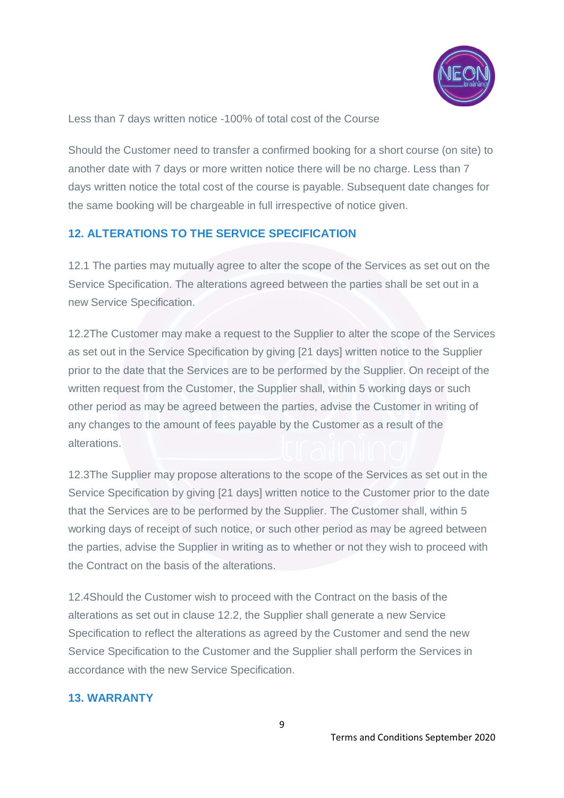

Less than 7 days written notice -100% of total cost of the Course

Should the Customer need to transfer a confirmed booking for a short course (on site) to another date with 7 days or more written notice there will be no charge. Less than 7 days written notice the total cost of the course is payable. Subsequent date changes for the same booking will be chargeable in full irrespective of notice given.

## **12. ALTERATIONS TO THE SERVICE SPECIFICATION**

12.1 The parties may mutually agree to alter the scope of the Services as set out on the Service Specification. The alterations agreed between the parties shall be set out in a new Service Specification.

12.2The Customer may make a request to the Supplier to alter the scope of the Services as set out in the Service Specification by giving [21 days] written notice to the Supplier prior to the date that the Services are to be performed by the Supplier. On receipt of the written request from the Customer, the Supplier shall, within 5 working days or such other period as may be agreed between the parties, advise the Customer in writing of any changes to the amount of fees payable by the Customer as a result of the alterations.

12.3The Supplier may propose alterations to the scope of the Services as set out in the Service Specification by giving [21 days] written notice to the Customer prior to the date that the Services are to be performed by the Supplier. The Customer shall, within 5 working days of receipt of such notice, or such other period as may be agreed between the parties, advise the Supplier in writing as to whether or not they wish to proceed with the Contract on the basis of the alterations.

12.4Should the Customer wish to proceed with the Contract on the basis of the alterations as set out in clause 12.2, the Supplier shall generate a new Service Specification to reflect the alterations as agreed by the Customer and send the new Service Specification to the Customer and the Supplier shall perform the Services in accordance with the new Service Specification.

## **13. WARRANTY**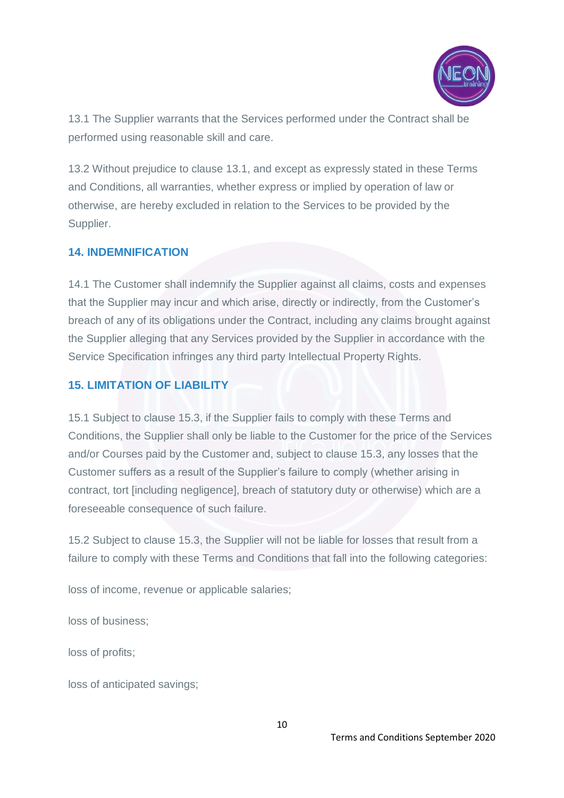

13.1 The Supplier warrants that the Services performed under the Contract shall be performed using reasonable skill and care.

13.2 Without prejudice to clause 13.1, and except as expressly stated in these Terms and Conditions, all warranties, whether express or implied by operation of law or otherwise, are hereby excluded in relation to the Services to be provided by the Supplier.

#### **14. INDEMNIFICATION**

14.1 The Customer shall indemnify the Supplier against all claims, costs and expenses that the Supplier may incur and which arise, directly or indirectly, from the Customer's breach of any of its obligations under the Contract, including any claims brought against the Supplier alleging that any Services provided by the Supplier in accordance with the Service Specification infringes any third party Intellectual Property Rights.

## **15. LIMITATION OF LIABILITY**

15.1 Subject to clause 15.3, if the Supplier fails to comply with these Terms and Conditions, the Supplier shall only be liable to the Customer for the price of the Services and/or Courses paid by the Customer and, subject to clause 15.3, any losses that the Customer suffers as a result of the Supplier's failure to comply (whether arising in contract, tort [including negligence], breach of statutory duty or otherwise) which are a foreseeable consequence of such failure.

15.2 Subject to clause 15.3, the Supplier will not be liable for losses that result from a failure to comply with these Terms and Conditions that fall into the following categories:

loss of income, revenue or applicable salaries;

loss of business;

loss of profits;

loss of anticipated savings;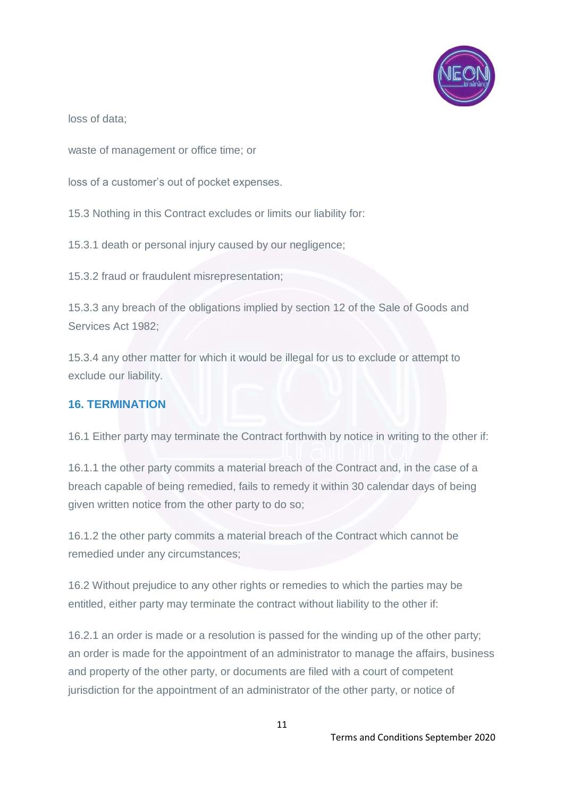

loss of data;

waste of management or office time; or

loss of a customer's out of pocket expenses.

15.3 Nothing in this Contract excludes or limits our liability for:

15.3.1 death or personal injury caused by our negligence;

15.3.2 fraud or fraudulent misrepresentation;

15.3.3 any breach of the obligations implied by section 12 of the Sale of Goods and Services Act 1982;

15.3.4 any other matter for which it would be illegal for us to exclude or attempt to exclude our liability.

#### **16. TERMINATION**

16.1 Either party may terminate the Contract forthwith by notice in writing to the other if:

16.1.1 the other party commits a material breach of the Contract and, in the case of a breach capable of being remedied, fails to remedy it within 30 calendar days of being given written notice from the other party to do so;

16.1.2 the other party commits a material breach of the Contract which cannot be remedied under any circumstances;

16.2 Without prejudice to any other rights or remedies to which the parties may be entitled, either party may terminate the contract without liability to the other if:

16.2.1 an order is made or a resolution is passed for the winding up of the other party; an order is made for the appointment of an administrator to manage the affairs, business and property of the other party, or documents are filed with a court of competent jurisdiction for the appointment of an administrator of the other party, or notice of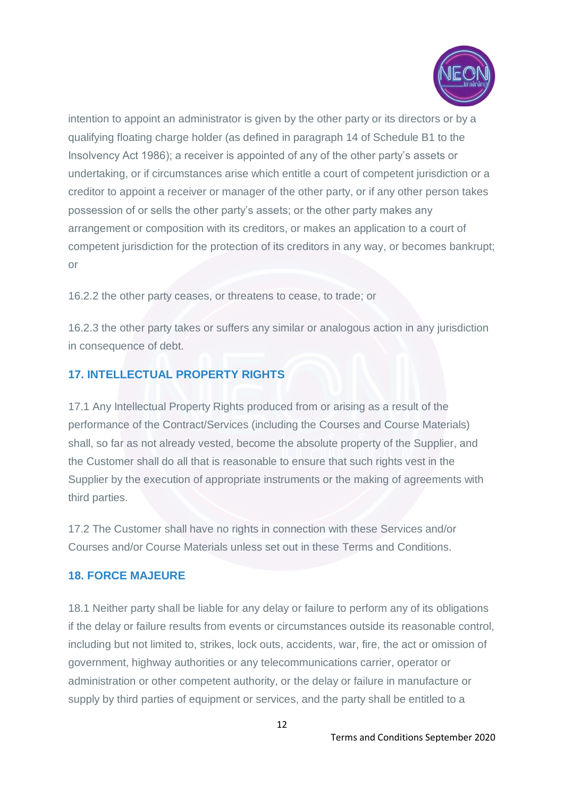

intention to appoint an administrator is given by the other party or its directors or by a qualifying floating charge holder (as defined in paragraph 14 of Schedule B1 to the Insolvency Act 1986); a receiver is appointed of any of the other party's assets or undertaking, or if circumstances arise which entitle a court of competent jurisdiction or a creditor to appoint a receiver or manager of the other party, or if any other person takes possession of or sells the other party's assets; or the other party makes any arrangement or composition with its creditors, or makes an application to a court of competent jurisdiction for the protection of its creditors in any way, or becomes bankrupt; or

16.2.2 the other party ceases, or threatens to cease, to trade; or

16.2.3 the other party takes or suffers any similar or analogous action in any jurisdiction in consequence of debt.

# **17. INTELLECTUAL PROPERTY RIGHTS**

17.1 Any Intellectual Property Rights produced from or arising as a result of the performance of the Contract/Services (including the Courses and Course Materials) shall, so far as not already vested, become the absolute property of the Supplier, and the Customer shall do all that is reasonable to ensure that such rights vest in the Supplier by the execution of appropriate instruments or the making of agreements with third parties.

17.2 The Customer shall have no rights in connection with these Services and/or Courses and/or Course Materials unless set out in these Terms and Conditions.

#### **18. FORCE MAJEURE**

18.1 Neither party shall be liable for any delay or failure to perform any of its obligations if the delay or failure results from events or circumstances outside its reasonable control, including but not limited to, strikes, lock outs, accidents, war, fire, the act or omission of government, highway authorities or any telecommunications carrier, operator or administration or other competent authority, or the delay or failure in manufacture or supply by third parties of equipment or services, and the party shall be entitled to a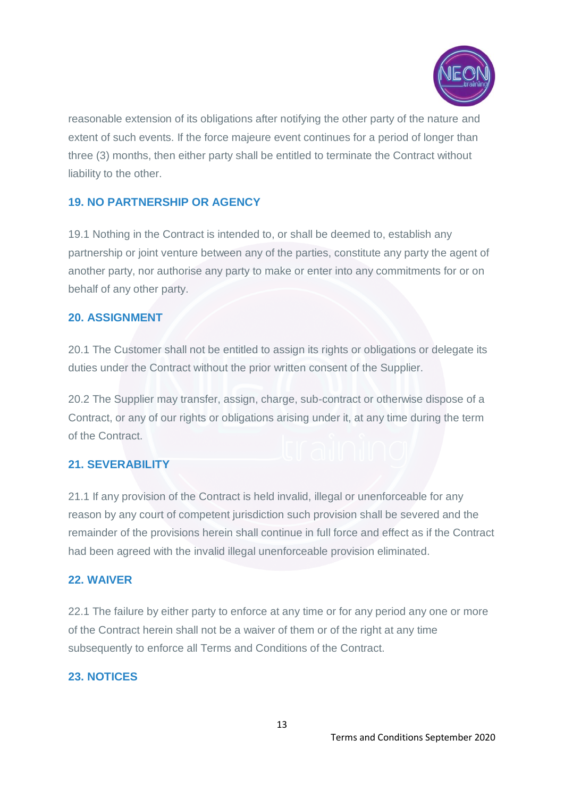

reasonable extension of its obligations after notifying the other party of the nature and extent of such events. If the force majeure event continues for a period of longer than three (3) months, then either party shall be entitled to terminate the Contract without liability to the other.

## **19. NO PARTNERSHIP OR AGENCY**

19.1 Nothing in the Contract is intended to, or shall be deemed to, establish any partnership or joint venture between any of the parties, constitute any party the agent of another party, nor authorise any party to make or enter into any commitments for or on behalf of any other party.

#### **20. ASSIGNMENT**

20.1 The Customer shall not be entitled to assign its rights or obligations or delegate its duties under the Contract without the prior written consent of the Supplier.

20.2 The Supplier may transfer, assign, charge, sub-contract or otherwise dispose of a Contract, or any of our rights or obligations arising under it, at any time during the term of the Contract.

## **21. SEVERABILITY**

21.1 If any provision of the Contract is held invalid, illegal or unenforceable for any reason by any court of competent jurisdiction such provision shall be severed and the remainder of the provisions herein shall continue in full force and effect as if the Contract had been agreed with the invalid illegal unenforceable provision eliminated.

## **22. WAIVER**

22.1 The failure by either party to enforce at any time or for any period any one or more of the Contract herein shall not be a waiver of them or of the right at any time subsequently to enforce all Terms and Conditions of the Contract.

## **23. NOTICES**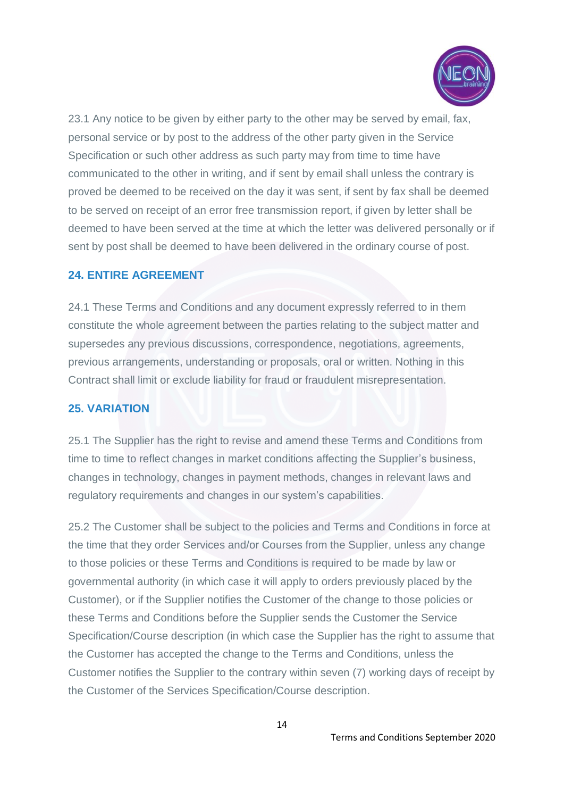

23.1 Any notice to be given by either party to the other may be served by email, fax, personal service or by post to the address of the other party given in the Service Specification or such other address as such party may from time to time have communicated to the other in writing, and if sent by email shall unless the contrary is proved be deemed to be received on the day it was sent, if sent by fax shall be deemed to be served on receipt of an error free transmission report, if given by letter shall be deemed to have been served at the time at which the letter was delivered personally or if sent by post shall be deemed to have been delivered in the ordinary course of post.

#### **24. ENTIRE AGREEMENT**

24.1 These Terms and Conditions and any document expressly referred to in them constitute the whole agreement between the parties relating to the subject matter and supersedes any previous discussions, correspondence, negotiations, agreements, previous arrangements, understanding or proposals, oral or written. Nothing in this Contract shall limit or exclude liability for fraud or fraudulent misrepresentation.

#### **25. VARIATION**

25.1 The Supplier has the right to revise and amend these Terms and Conditions from time to time to reflect changes in market conditions affecting the Supplier's business, changes in technology, changes in payment methods, changes in relevant laws and regulatory requirements and changes in our system's capabilities.

25.2 The Customer shall be subject to the policies and Terms and Conditions in force at the time that they order Services and/or Courses from the Supplier, unless any change to those policies or these Terms and Conditions is required to be made by law or governmental authority (in which case it will apply to orders previously placed by the Customer), or if the Supplier notifies the Customer of the change to those policies or these Terms and Conditions before the Supplier sends the Customer the Service Specification/Course description (in which case the Supplier has the right to assume that the Customer has accepted the change to the Terms and Conditions, unless the Customer notifies the Supplier to the contrary within seven (7) working days of receipt by the Customer of the Services Specification/Course description.